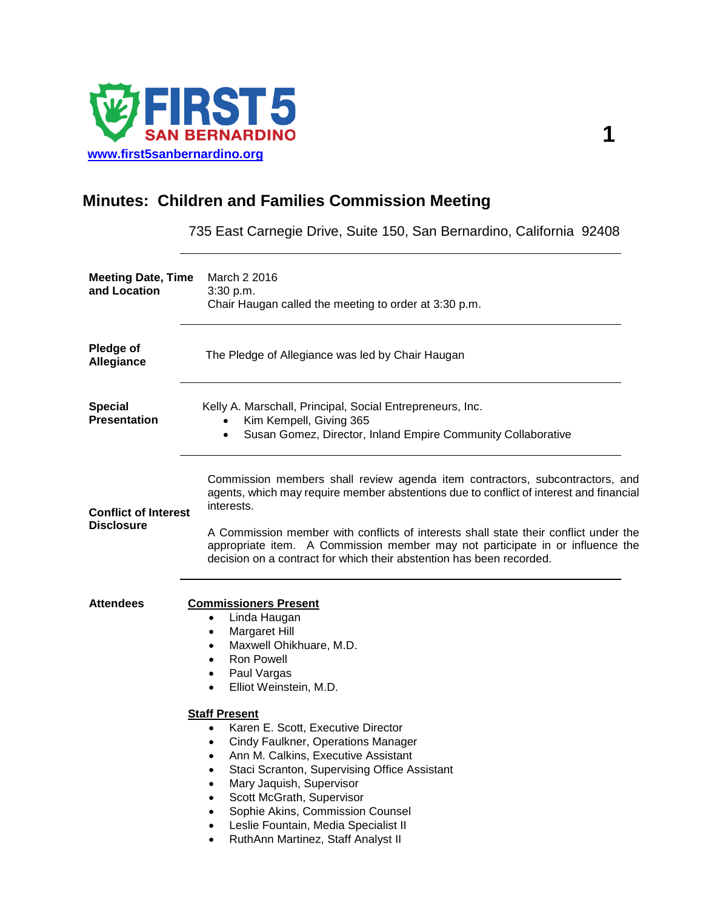

# **Minutes: Children and Families Commission Meeting**

735 East Carnegie Drive, Suite 150, San Bernardino, California 92408

| March 2 2016<br>3:30 p.m.<br>Chair Haugan called the meeting to order at 3:30 p.m.                                                                                                                                                                                                                                                                                                                                                                                                                                                                                                                                              |
|---------------------------------------------------------------------------------------------------------------------------------------------------------------------------------------------------------------------------------------------------------------------------------------------------------------------------------------------------------------------------------------------------------------------------------------------------------------------------------------------------------------------------------------------------------------------------------------------------------------------------------|
| The Pledge of Allegiance was led by Chair Haugan                                                                                                                                                                                                                                                                                                                                                                                                                                                                                                                                                                                |
| Kelly A. Marschall, Principal, Social Entrepreneurs, Inc.<br>Kim Kempell, Giving 365<br>$\bullet$<br>Susan Gomez, Director, Inland Empire Community Collaborative<br>$\bullet$                                                                                                                                                                                                                                                                                                                                                                                                                                                  |
| Commission members shall review agenda item contractors, subcontractors, and<br>agents, which may require member abstentions due to conflict of interest and financial<br>interests.<br>A Commission member with conflicts of interests shall state their conflict under the<br>appropriate item. A Commission member may not participate in or influence the<br>decision on a contract for which their abstention has been recorded.                                                                                                                                                                                           |
| <b>Commissioners Present</b><br>Linda Haugan<br>$\bullet$<br>Margaret Hill<br>$\bullet$<br>Maxwell Ohikhuare, M.D.<br>$\bullet$<br><b>Ron Powell</b><br>$\bullet$<br>Paul Vargas<br>٠<br>Elliot Weinstein, M.D.<br>$\bullet$<br><b>Staff Present</b><br>Karen E. Scott, Executive Director<br>$\bullet$<br>Cindy Faulkner, Operations Manager<br>٠<br>Ann M. Calkins, Executive Assistant<br>$\bullet$<br>Staci Scranton, Supervising Office Assistant<br>٠<br>Mary Jaquish, Supervisor<br>$\bullet$<br>Scott McGrath, Supervisor<br>٠<br>Sophie Akins, Commission Counsel<br>$\bullet$<br>Leslie Fountain, Media Specialist II |
|                                                                                                                                                                                                                                                                                                                                                                                                                                                                                                                                                                                                                                 |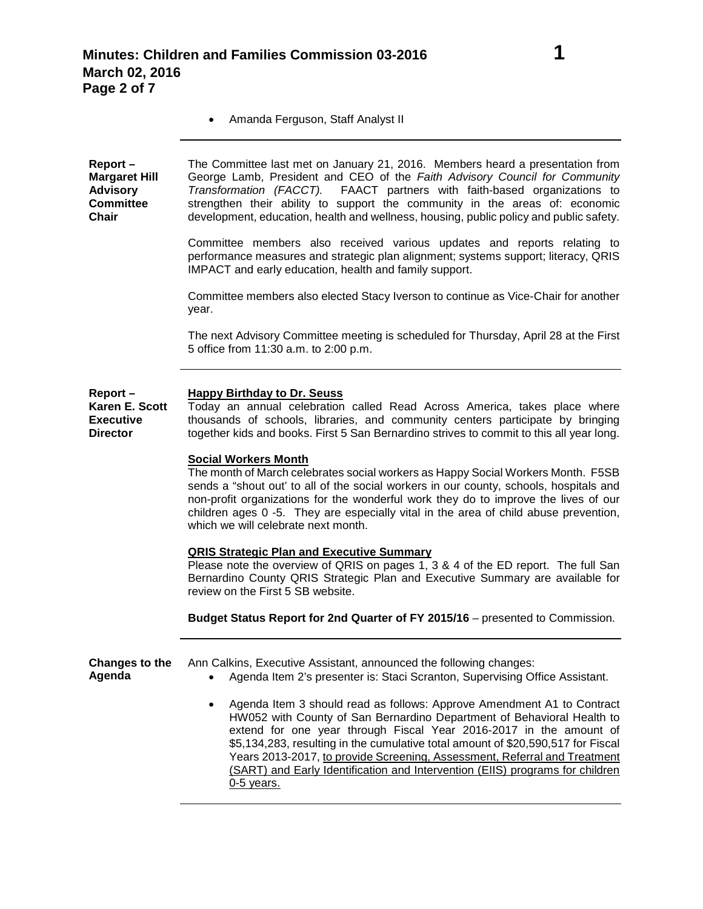• Amanda Ferguson, Staff Analyst II

**Report – Margaret Hill Advisory Committee Chair** The Committee last met on January 21, 2016. Members heard a presentation from George Lamb, President and CEO of the *Faith Advisory Council for Community Transformation (FACCT).* FAACT partners with faith-based organizations to strengthen their ability to support the community in the areas of: economic development, education, health and wellness, housing, public policy and public safety.

> Committee members also received various updates and reports relating to performance measures and strategic plan alignment; systems support; literacy, QRIS IMPACT and early education, health and family support.

> Committee members also elected Stacy Iverson to continue as Vice-Chair for another year.

> The next Advisory Committee meeting is scheduled for Thursday, April 28 at the First 5 office from 11:30 a.m. to 2:00 p.m.

#### **Report – Happy Birthday to Dr. Seuss**

**Karen E. Scott Executive Director** Today an annual celebration called Read Across America, takes place where thousands of schools, libraries, and community centers participate by bringing together kids and books. First 5 San Bernardino strives to commit to this all year long.

#### **Social Workers Month**

The month of March celebrates social workers as Happy Social Workers Month. F5SB sends a "shout out' to all of the social workers in our county, schools, hospitals and non-profit organizations for the wonderful work they do to improve the lives of our children ages 0 -5. They are especially vital in the area of child abuse prevention, which we will celebrate next month.

#### **QRIS Strategic Plan and Executive Summary**

Please note the overview of QRIS on pages 1, 3 & 4 of the ED report. The full San Bernardino County QRIS Strategic Plan and Executive Summary are available for review on the First 5 SB website.

**Budget Status Report for 2nd Quarter of FY 2015/16** – presented to Commission.

| Changes to the | Ann Calkins, Executive Assistant, announced the following changes:                                                                                                                                                                                                                                         |
|----------------|------------------------------------------------------------------------------------------------------------------------------------------------------------------------------------------------------------------------------------------------------------------------------------------------------------|
| Agenda         | Agenda Item 2's presenter is: Staci Scranton, Supervising Office Assistant.                                                                                                                                                                                                                                |
|                | Agenda Item 3 should read as follows: Approve Amendment A1 to Contract<br>HW052 with County of San Bernardino Department of Behavioral Health to<br>extend for one year through Fiscal Year 2016-2017 in the amount of<br>\$5,134,283, resulting in the cumulative total amount of \$20,590,517 for Fiscal |

\$5,134,283, resulting in the cumulative total amount of \$20,590,517 for Fiscal Years 2013-2017, to provide Screening, Assessment, Referral and Treatment (SART) and Early Identification and Intervention (EIIS) programs for children 0-5 years.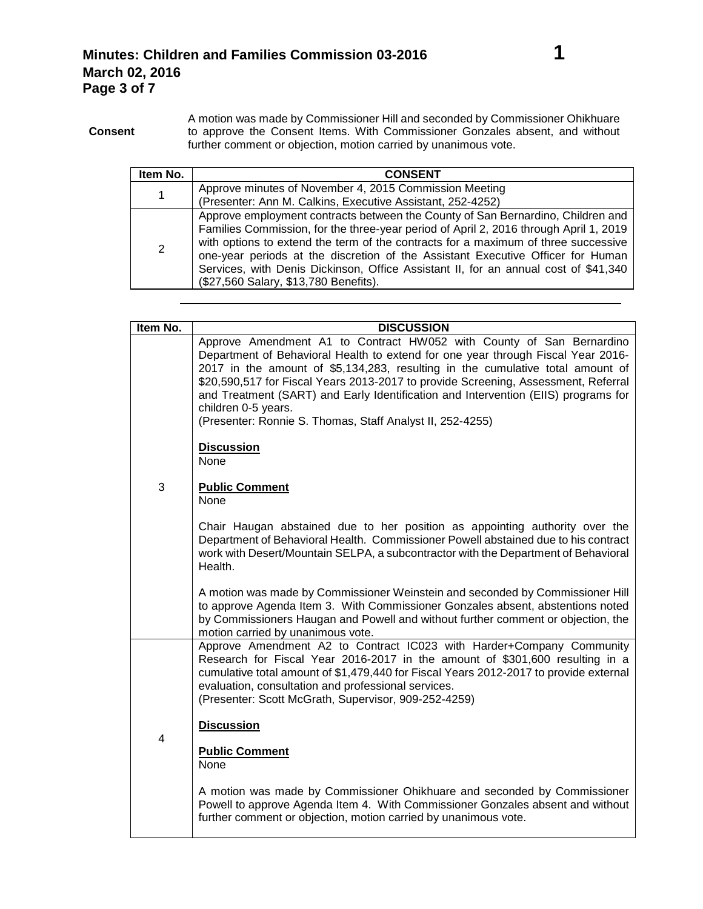**Consent** A motion was made by Commissioner Hill and seconded by Commissioner Ohikhuare to approve the Consent Items. With Commissioner Gonzales absent, and without further comment or objection, motion carried by unanimous vote.

| Item No. | <b>CONSENT</b>                                                                                                                                                                                                                                                                                                                                                                                                                                                                    |
|----------|-----------------------------------------------------------------------------------------------------------------------------------------------------------------------------------------------------------------------------------------------------------------------------------------------------------------------------------------------------------------------------------------------------------------------------------------------------------------------------------|
| 1        | Approve minutes of November 4, 2015 Commission Meeting<br>(Presenter: Ann M. Calkins, Executive Assistant, 252-4252)                                                                                                                                                                                                                                                                                                                                                              |
| 2        | Approve employment contracts between the County of San Bernardino, Children and<br>Families Commission, for the three-year period of April 2, 2016 through April 1, 2019<br>with options to extend the term of the contracts for a maximum of three successive<br>one-year periods at the discretion of the Assistant Executive Officer for Human<br>Services, with Denis Dickinson, Office Assistant II, for an annual cost of \$41,340<br>(\$27,560 Salary, \$13,780 Benefits). |

| Item No. | <b>DISCUSSION</b>                                                                                                                                                                                                                                                                                                                                                                                                                                                                                          |
|----------|------------------------------------------------------------------------------------------------------------------------------------------------------------------------------------------------------------------------------------------------------------------------------------------------------------------------------------------------------------------------------------------------------------------------------------------------------------------------------------------------------------|
|          | Approve Amendment A1 to Contract HW052 with County of San Bernardino<br>Department of Behavioral Health to extend for one year through Fiscal Year 2016-<br>2017 in the amount of \$5,134,283, resulting in the cumulative total amount of<br>\$20,590,517 for Fiscal Years 2013-2017 to provide Screening, Assessment, Referral<br>and Treatment (SART) and Early Identification and Intervention (EIIS) programs for<br>children 0-5 years.<br>(Presenter: Ronnie S. Thomas, Staff Analyst II, 252-4255) |
|          | <b>Discussion</b><br><b>None</b>                                                                                                                                                                                                                                                                                                                                                                                                                                                                           |
| 3        | <b>Public Comment</b><br><b>None</b>                                                                                                                                                                                                                                                                                                                                                                                                                                                                       |
|          | Chair Haugan abstained due to her position as appointing authority over the<br>Department of Behavioral Health. Commissioner Powell abstained due to his contract<br>work with Desert/Mountain SELPA, a subcontractor with the Department of Behavioral<br>Health.                                                                                                                                                                                                                                         |
|          | A motion was made by Commissioner Weinstein and seconded by Commissioner Hill<br>to approve Agenda Item 3. With Commissioner Gonzales absent, abstentions noted<br>by Commissioners Haugan and Powell and without further comment or objection, the<br>motion carried by unanimous vote.                                                                                                                                                                                                                   |
|          | Approve Amendment A2 to Contract IC023 with Harder+Company Community<br>Research for Fiscal Year 2016-2017 in the amount of \$301,600 resulting in a<br>cumulative total amount of \$1,479,440 for Fiscal Years 2012-2017 to provide external<br>evaluation, consultation and professional services.<br>(Presenter: Scott McGrath, Supervisor, 909-252-4259)                                                                                                                                               |
| 4        | <b>Discussion</b>                                                                                                                                                                                                                                                                                                                                                                                                                                                                                          |
|          | <b>Public Comment</b><br>None                                                                                                                                                                                                                                                                                                                                                                                                                                                                              |
|          | A motion was made by Commissioner Ohikhuare and seconded by Commissioner<br>Powell to approve Agenda Item 4. With Commissioner Gonzales absent and without<br>further comment or objection, motion carried by unanimous vote.                                                                                                                                                                                                                                                                              |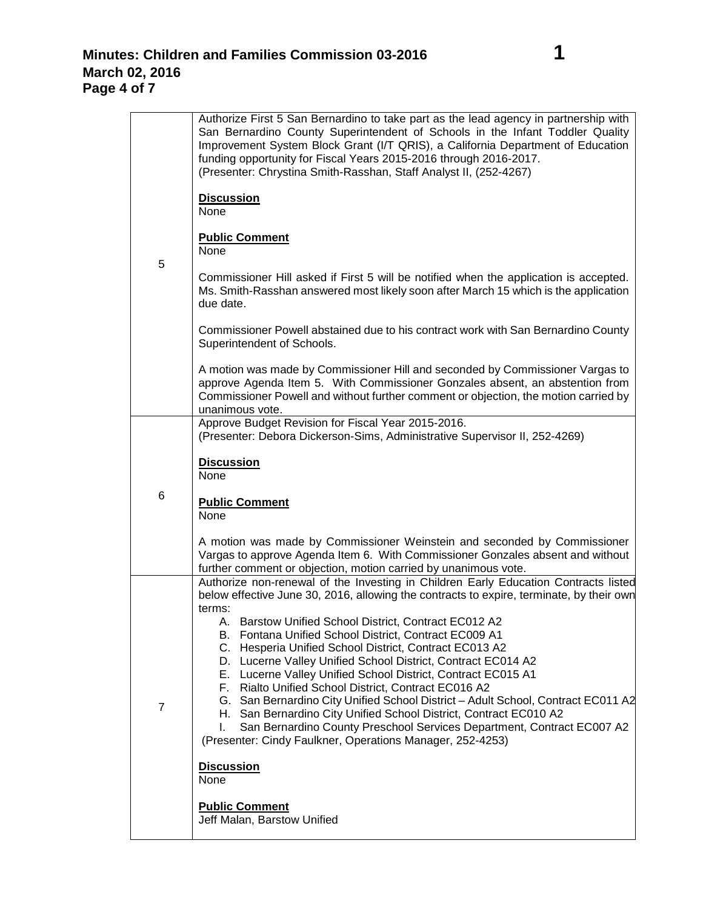| 5              | Authorize First 5 San Bernardino to take part as the lead agency in partnership with<br>San Bernardino County Superintendent of Schools in the Infant Toddler Quality<br>Improvement System Block Grant (I/T QRIS), a California Department of Education<br>funding opportunity for Fiscal Years 2015-2016 through 2016-2017.<br>(Presenter: Chrystina Smith-Rasshan, Staff Analyst II, (252-4267)                                                                                                                                  |
|----------------|-------------------------------------------------------------------------------------------------------------------------------------------------------------------------------------------------------------------------------------------------------------------------------------------------------------------------------------------------------------------------------------------------------------------------------------------------------------------------------------------------------------------------------------|
|                | <b>Discussion</b><br>None                                                                                                                                                                                                                                                                                                                                                                                                                                                                                                           |
|                | <b>Public Comment</b><br>None                                                                                                                                                                                                                                                                                                                                                                                                                                                                                                       |
|                | Commissioner Hill asked if First 5 will be notified when the application is accepted.<br>Ms. Smith-Rasshan answered most likely soon after March 15 which is the application<br>due date.                                                                                                                                                                                                                                                                                                                                           |
|                | Commissioner Powell abstained due to his contract work with San Bernardino County<br>Superintendent of Schools.                                                                                                                                                                                                                                                                                                                                                                                                                     |
|                | A motion was made by Commissioner Hill and seconded by Commissioner Vargas to<br>approve Agenda Item 5. With Commissioner Gonzales absent, an abstention from<br>Commissioner Powell and without further comment or objection, the motion carried by<br>unanimous vote.                                                                                                                                                                                                                                                             |
|                | Approve Budget Revision for Fiscal Year 2015-2016.<br>(Presenter: Debora Dickerson-Sims, Administrative Supervisor II, 252-4269)                                                                                                                                                                                                                                                                                                                                                                                                    |
| 6              | <b>Discussion</b><br>None                                                                                                                                                                                                                                                                                                                                                                                                                                                                                                           |
|                | <b>Public Comment</b><br>None                                                                                                                                                                                                                                                                                                                                                                                                                                                                                                       |
|                | A motion was made by Commissioner Weinstein and seconded by Commissioner<br>Vargas to approve Agenda Item 6. With Commissioner Gonzales absent and without<br>further comment or objection, motion carried by unanimous vote.                                                                                                                                                                                                                                                                                                       |
|                | Authorize non-renewal of the Investing in Children Early Education Contracts listed<br>below effective June 30, 2016, allowing the contracts to expire, terminate, by their own                                                                                                                                                                                                                                                                                                                                                     |
| $\overline{7}$ | terms:<br>A. Barstow Unified School District, Contract EC012 A2<br>B. Fontana Unified School District, Contract EC009 A1<br>C. Hesperia Unified School District, Contract EC013 A2<br>D. Lucerne Valley Unified School District, Contract EC014 A2<br>E. Lucerne Valley Unified School District, Contract EC015 A1<br>F. Rialto Unified School District, Contract EC016 A2<br>G. San Bernardino City Unified School District - Adult School, Contract EC011 A2<br>H. San Bernardino City Unified School District, Contract EC010 A2 |
|                | San Bernardino County Preschool Services Department, Contract EC007 A2<br>L.<br>(Presenter: Cindy Faulkner, Operations Manager, 252-4253)                                                                                                                                                                                                                                                                                                                                                                                           |
|                | <b>Discussion</b><br>None                                                                                                                                                                                                                                                                                                                                                                                                                                                                                                           |
|                | <b>Public Comment</b><br>Jeff Malan, Barstow Unified                                                                                                                                                                                                                                                                                                                                                                                                                                                                                |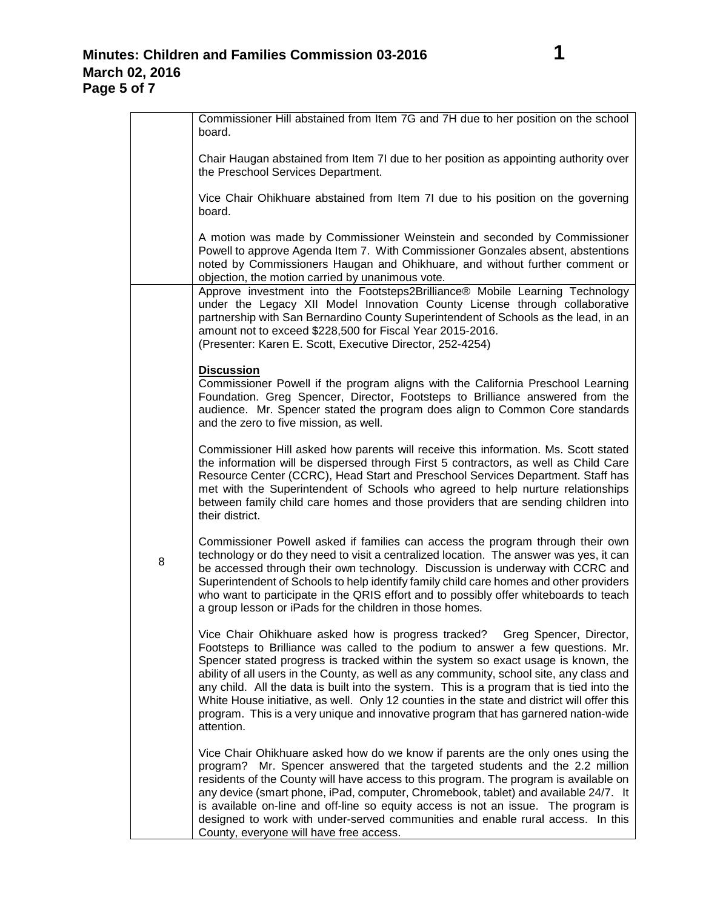## **Minutes: Children and Families Commission 03-2016 1 March 02, 2016 Page 5 of 7**

|   | Commissioner Hill abstained from Item 7G and 7H due to her position on the school<br>board.                                                                                                                                                                                                                                                                                                                                                                                                                                                                                                                                                      |
|---|--------------------------------------------------------------------------------------------------------------------------------------------------------------------------------------------------------------------------------------------------------------------------------------------------------------------------------------------------------------------------------------------------------------------------------------------------------------------------------------------------------------------------------------------------------------------------------------------------------------------------------------------------|
|   | Chair Haugan abstained from Item 7I due to her position as appointing authority over<br>the Preschool Services Department.                                                                                                                                                                                                                                                                                                                                                                                                                                                                                                                       |
|   | Vice Chair Ohikhuare abstained from Item 7I due to his position on the governing<br>board.                                                                                                                                                                                                                                                                                                                                                                                                                                                                                                                                                       |
|   | A motion was made by Commissioner Weinstein and seconded by Commissioner<br>Powell to approve Agenda Item 7. With Commissioner Gonzales absent, abstentions<br>noted by Commissioners Haugan and Ohikhuare, and without further comment or<br>objection, the motion carried by unanimous vote.                                                                                                                                                                                                                                                                                                                                                   |
|   | Approve investment into the Footsteps2Brilliance® Mobile Learning Technology<br>under the Legacy XII Model Innovation County License through collaborative<br>partnership with San Bernardino County Superintendent of Schools as the lead, in an<br>amount not to exceed \$228,500 for Fiscal Year 2015-2016.<br>(Presenter: Karen E. Scott, Executive Director, 252-4254)                                                                                                                                                                                                                                                                      |
| 8 | <b>Discussion</b><br>Commissioner Powell if the program aligns with the California Preschool Learning<br>Foundation. Greg Spencer, Director, Footsteps to Brilliance answered from the<br>audience. Mr. Spencer stated the program does align to Common Core standards<br>and the zero to five mission, as well.                                                                                                                                                                                                                                                                                                                                 |
|   | Commissioner Hill asked how parents will receive this information. Ms. Scott stated<br>the information will be dispersed through First 5 contractors, as well as Child Care<br>Resource Center (CCRC), Head Start and Preschool Services Department. Staff has<br>met with the Superintendent of Schools who agreed to help nurture relationships<br>between family child care homes and those providers that are sending children into<br>their district.                                                                                                                                                                                       |
|   | Commissioner Powell asked if families can access the program through their own<br>technology or do they need to visit a centralized location. The answer was yes, it can<br>be accessed through their own technology. Discussion is underway with CCRC and<br>Superintendent of Schools to help identify family child care homes and other providers<br>who want to participate in the QRIS effort and to possibly offer whiteboards to teach<br>a group lesson or iPads for the children in those homes.                                                                                                                                        |
|   | Vice Chair Ohikhuare asked how is progress tracked? Greg Spencer, Director,<br>Footsteps to Brilliance was called to the podium to answer a few questions. Mr.<br>Spencer stated progress is tracked within the system so exact usage is known, the<br>ability of all users in the County, as well as any community, school site, any class and<br>any child. All the data is built into the system. This is a program that is tied into the<br>White House initiative, as well. Only 12 counties in the state and district will offer this<br>program. This is a very unique and innovative program that has garnered nation-wide<br>attention. |
|   | Vice Chair Ohikhuare asked how do we know if parents are the only ones using the<br>program? Mr. Spencer answered that the targeted students and the 2.2 million<br>residents of the County will have access to this program. The program is available on<br>any device (smart phone, iPad, computer, Chromebook, tablet) and available 24/7. It<br>is available on-line and off-line so equity access is not an issue. The program is<br>designed to work with under-served communities and enable rural access. In this<br>County, everyone will have free access.                                                                             |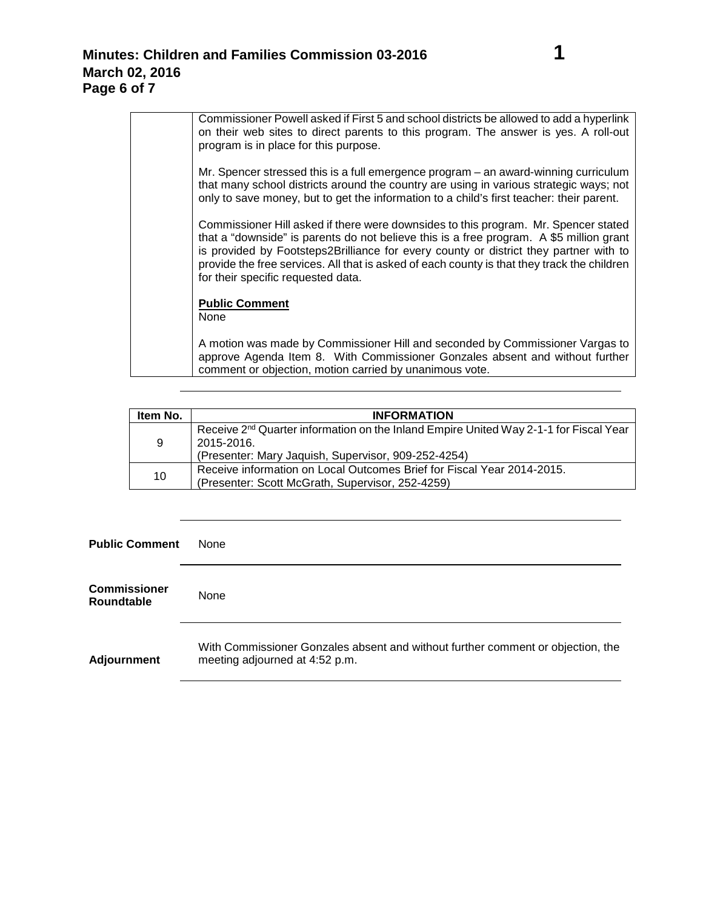| Commissioner Powell asked if First 5 and school districts be allowed to add a hyperlink<br>on their web sites to direct parents to this program. The answer is yes. A roll-out<br>program is in place for this purpose.                                                                                                                                                                                      |
|--------------------------------------------------------------------------------------------------------------------------------------------------------------------------------------------------------------------------------------------------------------------------------------------------------------------------------------------------------------------------------------------------------------|
| Mr. Spencer stressed this is a full emergence program – an award-winning curriculum<br>that many school districts around the country are using in various strategic ways; not<br>only to save money, but to get the information to a child's first teacher: their parent.                                                                                                                                    |
| Commissioner Hill asked if there were downsides to this program. Mr. Spencer stated<br>that a "downside" is parents do not believe this is a free program. A \$5 million grant<br>is provided by Footsteps2Brilliance for every county or district they partner with to<br>provide the free services. All that is asked of each county is that they track the children<br>for their specific requested data. |
| <b>Public Comment</b><br>None                                                                                                                                                                                                                                                                                                                                                                                |
| A motion was made by Commissioner Hill and seconded by Commissioner Vargas to<br>approve Agenda Item 8. With Commissioner Gonzales absent and without further<br>comment or objection, motion carried by unanimous vote.                                                                                                                                                                                     |

| Item No. | <b>INFORMATION</b>                                                                                                                                                     |
|----------|------------------------------------------------------------------------------------------------------------------------------------------------------------------------|
| 9        | Receive 2 <sup>nd</sup> Quarter information on the Inland Empire United Way 2-1-1 for Fiscal Year<br>2015-2016.<br>(Presenter: Mary Jaquish, Supervisor, 909-252-4254) |
| 10       | Receive information on Local Outcomes Brief for Fiscal Year 2014-2015.<br>(Presenter: Scott McGrath, Supervisor, 252-4259)                                             |

### **Public Comment** None

| <b>Commissioner</b><br><b>Roundtable</b> | None                                                                                                              |
|------------------------------------------|-------------------------------------------------------------------------------------------------------------------|
| <b>Adjournment</b>                       | With Commissioner Gonzales absent and without further comment or objection, the<br>meeting adjourned at 4:52 p.m. |